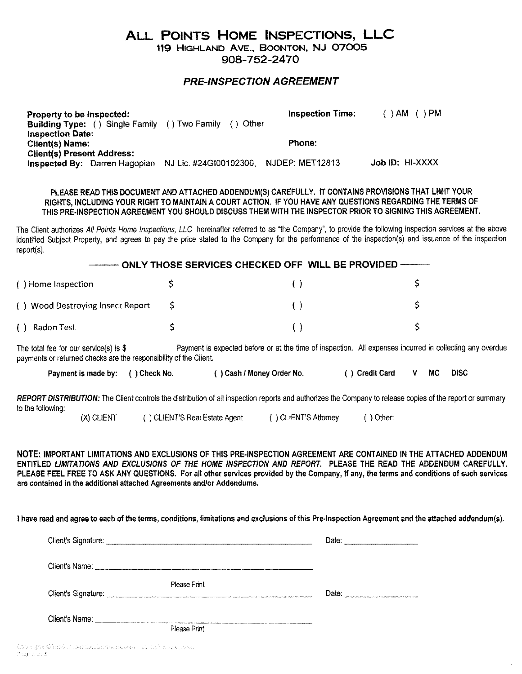## ALL POINTS HOME INSPECTIONS, LLC

119 HIGHLAND AVE., BOONTON, NJ 07005 908-752-2470

## *PRE-INSPECTION AGREEMENT*

| Property to be inspected:                            |                        | <b>Inspection Time:</b> | )AM ()PM        |
|------------------------------------------------------|------------------------|-------------------------|-----------------|
| <b>Building Type:</b> () Single Family () Two Family | Other                  |                         |                 |
| <b>Inspection Date:</b>                              |                        |                         |                 |
| Client(s) Name:                                      |                        | Phone:                  |                 |
| <b>Client(s) Present Address:</b>                    |                        |                         |                 |
| <b>Inspected By: Darren Hagopian</b>                 | NJ Lic. #24G100102300, | NJDEP: MET12813         | Job ID: HI-XXXX |

## PLEASE READ THIS DOCUMENT AND ATTACHED ADDENDUM(S) CAREFULLY. IT CONTAINS PROVISIONS THAT LIMIT YOUR RIGHTS, INCLUDING YOUR RIGHT TO MAINTAIN A COURT ACTION. IF YOU HAVE ANY QUESTIONS REGARDING THE TERMS OF THIS PRE·INSPECTION AGREEMENT YOU SHOULD DISCUSS THEM WITH THE INSPECTOR PRIOR TO SIGNING THIS AGREEMENT.

The Client authorizes *All Points Home Inspections, LLC* hereinafter referred to as "the Company", to provide the following inspection services at the above identified Subject Property, and agrees to pay the price stated to the Company for the performance of the inspection(s) and issuance of the inspection report(s).

| () Home Inspection               |  |  |  |
|----------------------------------|--|--|--|
| () Wood Destroying Insect Report |  |  |  |
| Radon Test                       |  |  |  |

The total fee for our service(s) is \$ Payment is expected before or at the time of inspection. All expenses incurred in collecting any overdue payments or returned checks are the responsibility of the Client.

| Payment is made by: () Check No. | () Cash / Money Order No. | () Credit Card | MC. | <b>DISC</b> |
|----------------------------------|---------------------------|----------------|-----|-------------|
|                                  |                           |                |     |             |

*REPORT DISTRIBUTION:* The Client controls the distribution of all inspection reports and authorizes the Company to release copies of the report or summary to the following:

(X) CLIENT ( ) CLIENT'S Real Estate Agent ( ) CLIENT'S Attorney ( ) Other:

NOTE: IMPORTANT LIMITATIONS AND EXCLUSIONS OF THIS PRE· INSPECTION AGREEMENT ARE CONTAINED IN THE ATTACHED ADDENDUM ENTITLED *LIMITATIONS AND EXCLUSIONS* OF *THE HOME INSPECTION AND REPORT.* PLEASE THE READ THE ADDENDUM CAREFULLY. PLEASE FEEL FREE TO ASK ANY QUESTIONS. For all other services provided by the Company, if any, the terms and conditions of such services are contained in the additional attached Agreements *andlor* Addendums.

I have read and agree to each of the terms, conditions, limitations and exclusions of this Pre-Inspection Agreement and the attached addendum(s).

|                                   |              | Date: |
|-----------------------------------|--------------|-------|
| Client's Name:                    |              |       |
| Client's Signature: _____________ | Please Print | Date: |
| Client's Name:                    | Please Print |       |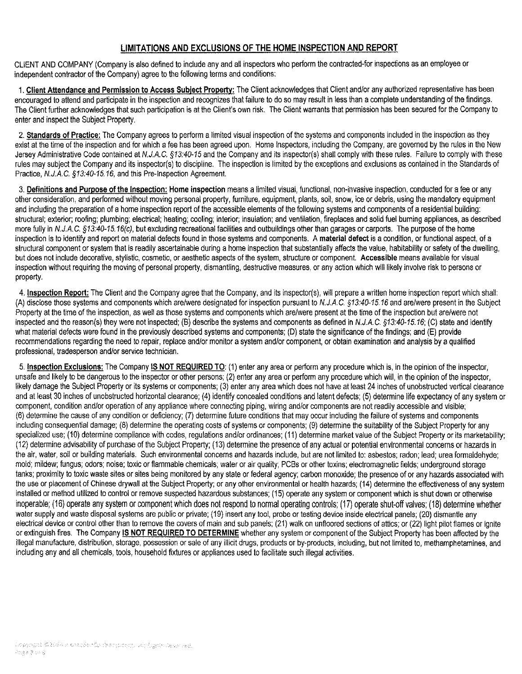## **LIMITATIONS AND EXCLUSIONS OF THE HOME INSPECTION AND REPORT**

CLIENT AND COMPANY (Company is also defined to include any and all inspectors who perform the contracted-for inspections as an employee or independent contractor of the Company) agree to the following terms and conditions:

1. **Client Attendance and Permission to Access Subject Property:** The Client acknowledges that Client and/or any authorized representative has been encouraged to attend and participate in the inspection and recognizes that failure to do so may result in less than a complete understanding of the findings. The Client further acknowledges that such participation is at the Client's own risk. The Client warrants that permission has been secured for the Company to enter and inspect the Subject Property.

2. **Standards of Practice:** The Company agrees to perform a limited visual inspection of the systems and components included in the inspection as they exist at the time of the inspection and for which a fee has been agreed upon. Home Inspectors, including the Company, are governed by the rules in the New Jersey Administrative Code contained at *N.J.A.C. §13:40-15* and the Company and its inspector(s) shall comply with these rules. Failure to comply with these rules may subject the Company and its inspector(s) to discipline. The inspection is limited by the exceptions and exclusions as contained in the Standards of Practice, *N.J.A.C. §13:40-15.16,* and this Pre-Inspection Agreement.

3. **Definitions and Purpose of the Inspection: Home inspection** means a limited visual, functional, non-invasive inspection, conducted for a fee or any other consideration, and performed without moving personal property, furniture, equipment, plants, soil, snow, ice or debris, using the mandatory equipment and including the preparation of a home inspection report of the accessible elements of the following systems and components of a residential building: structural; exterior; roofing; plumbing; electrical; heating; cooling; interior; insulation; and ventilation, fireplaces and solid fuel burning appliances, as described more fully in *N.J.A.* C. *§13:40-15.16(c),* but excluding recreational facilities and outbuildings other than garages or carports. The purpose of the home inspection is to identify and report on material defects found in those systems and components. A **material defect** is a condition, or functional aspect, of a structural component or system that is readily ascertainable during a home inspection that substantially affects the value, habitability or safety of the dwelling, but does not include decorative, stylistic, cosmetic, or aesthetic aspects of the system, structure or component. **Accessible** means available for visual inspection without requiring the moving of personal property, dismantling, destructive measures, or any action which will likely involve risk to persons or property.

4. **Inspection Report:** The Client and the Company agree that the Company, and its inspector(s), will prepare a written home inspection report which shall: (A) disclose those systems and components which are/were designated for inspection pursuant to *N.J.A.C. §13:40-15.16* and are/were present in the Subject Property at the time of the inspection, as well as those systems and components which are/were present at the time of the inspection but are/were not inspected and the reason(s) they were not inspected; (B) describe the systems and components as defined in *N.J.A.* C. *§13:40-15.16;* (C) state and identify what material defects were found in the previously described systems and components; (D) state the significance of the findings; and (E) provide recommendations regarding the need to repair, replace and/or monitor a system and/or component, or obtain examination and analysis by a qualified professional, tradesperson and/or service technician.

5. **Inspection Exclusions:** The Company **IS NOT REQUIRED TO:** (1) enter any area or perform any procedure which is, in the opinion of the inspector, unsafe and likely to be dangerous to the inspector or other persons; (2) enter any area or perform any procedure which will, in the opinion of the inspector, likely damage the Subject Property or its systems or components; (3) enter any area which does not have at least 24 inches of unobstructed vertical clearance and at least 30 inches of unobstructed horizontal clearance; (4) identify concealed conditions and latent defects; (5) determine life expectancy of any system or component, condition and/or operation of any appliance where connecting piping, wiring and/or components are not readily accessible and visible; (6) determine the cause of any condition or deficiency; (7) determine future conditions that may occur including the failure of systems and components including consequential damage; (8) determine the operating costs of systems or components; (9) determine the suitability of the Subject Property for any specialized use; (10) determine compliance with codes, regulations and/or ordinances; (11) determine market value of the Subject Property or its marketability; (12) determine advisability of purchase of the Subject Property; (13) determine the presence of any actual or potential environmental concerns or hazards in the air, water, soil or building materials. Such environmental concerns and hazards include, but are not limited to: asbestos; radon; lead; urea formaldehyde; mold; mildew; fungus; odors; noise; toxic or flammable chemicals; water or air quality; PCBs or other toxins; electromagnetic fields; underground storage tanks; proximity to toxic waste sites or sites being monitored by any state or federal agency; carbon monoxide; the presence of or any hazards associated with the use or placement of Chinese drywall at the Subject Property; or any other environmental or health hazards; (14) determine the effectiveness of any system installed or method utilized to control or remove suspected hazardous substances; (15) operate any system or component which is shut down or otherwise inoperable; (16) operate any system or component which does not respond to normal operating controls; (17) operate shut-off valves; (18) determine whether water supply and waste disposal systems are public or private; (19) insert any tool, probe or testing device inside electrical panels; (20) dismantle any electrical device or control other than to remove the covers of main and sub panels; (21) walk on unfloored sections of attics; or (22) light pilot flames or ignite or extinguish fires. The Company **IS NOT REQUIRED TO DETERMINE** whether any system or component of the Subject Property has been affected by the illegal manufacture, distribution, storage, possession or sale of any illicit drugs, products or by-products, including, but not limited to, methamphetamines, and including any and all chemicals, tools, household fixtures or appliances used to facilitate such illegal activities.